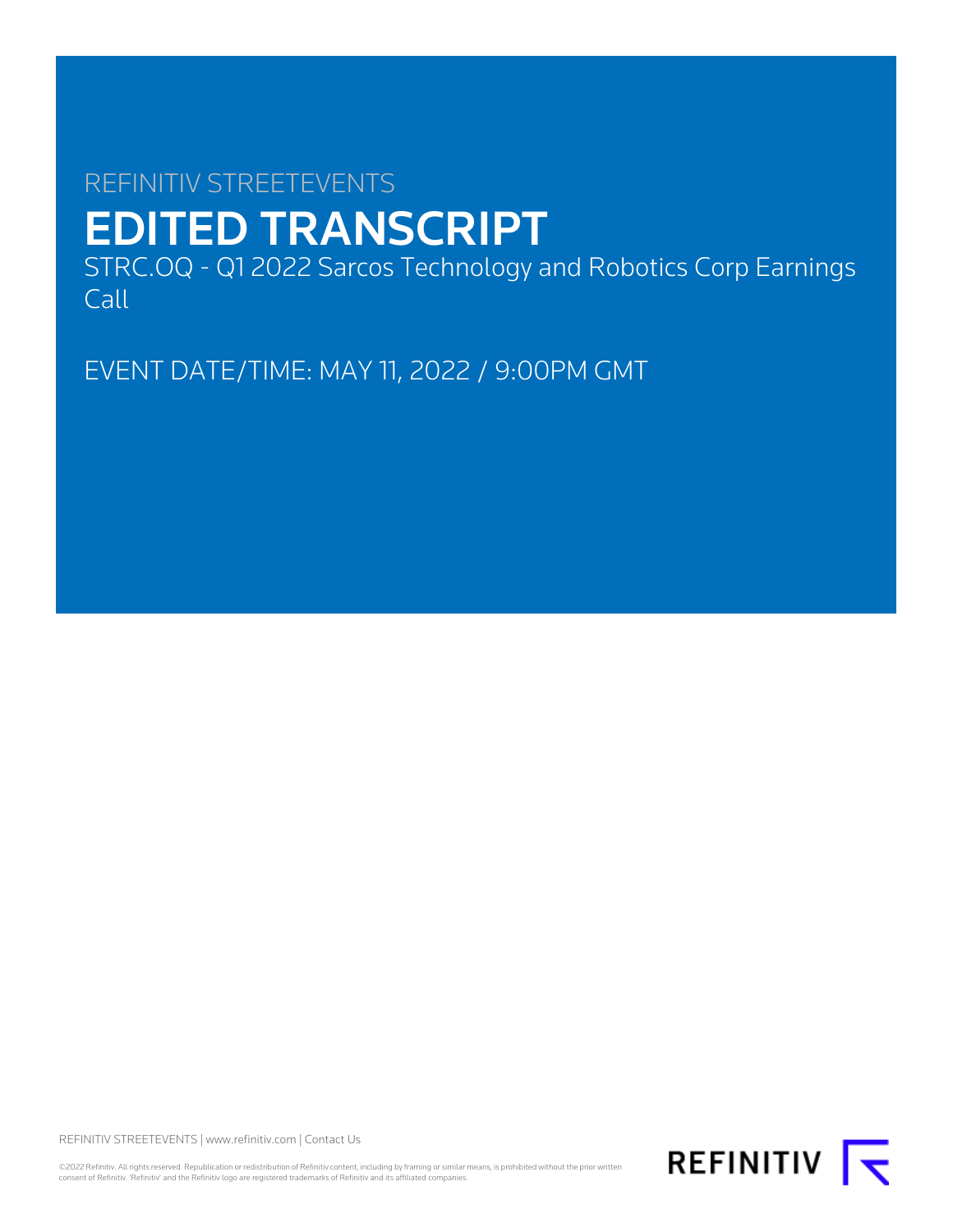# REFINITIV STREETEVENTS EDITED TRANSCRIPT

STRC.OQ - Q1 2022 Sarcos Technology and Robotics Corp Earnings Call

EVENT DATE/TIME: MAY 11, 2022 / 9:00PM GMT

REFINITIV STREETEVENTS | [www.refinitiv.com](https://www.refinitiv.com/) | [Contact Us](https://www.refinitiv.com/en/contact-us)

©2022 Refinitiv. All rights reserved. Republication or redistribution of Refinitiv content, including by framing or similar means, is prohibited without the prior written<br>consent of Refinitiv. 'Refinitiv' and the Refinitiv

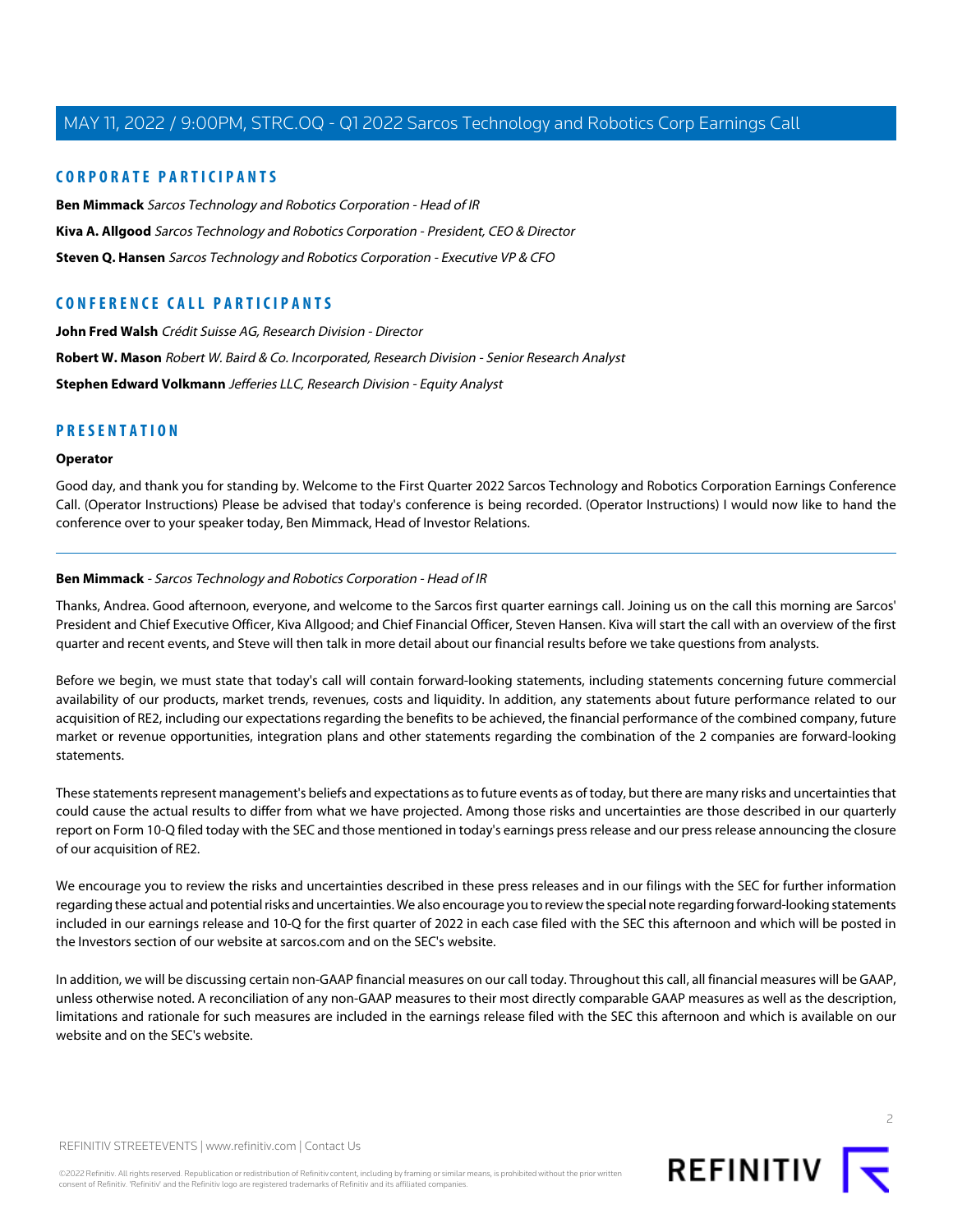# **CORPORATE PARTICIPANTS**

**[Ben Mimmack](#page-1-0)** Sarcos Technology and Robotics Corporation - Head of IR **[Kiva A. Allgood](#page-2-0)** Sarcos Technology and Robotics Corporation - President, CEO & Director **[Steven Q. Hansen](#page-4-0)** Sarcos Technology and Robotics Corporation - Executive VP & CFO

# **CONFERENCE CALL PARTICIPANTS**

**[John Fred Walsh](#page-7-0)** Crédit Suisse AG, Research Division - Director **[Robert W. Mason](#page-8-0)** Robert W. Baird & Co. Incorporated, Research Division - Senior Research Analyst **[Stephen Edward Volkmann](#page-6-0)** Jefferies LLC, Research Division - Equity Analyst

# **PRESENTATION**

## **Operator**

<span id="page-1-0"></span>Good day, and thank you for standing by. Welcome to the First Quarter 2022 Sarcos Technology and Robotics Corporation Earnings Conference Call. (Operator Instructions) Please be advised that today's conference is being recorded. (Operator Instructions) I would now like to hand the conference over to your speaker today, Ben Mimmack, Head of Investor Relations.

## **Ben Mimmack** - Sarcos Technology and Robotics Corporation - Head of IR

Thanks, Andrea. Good afternoon, everyone, and welcome to the Sarcos first quarter earnings call. Joining us on the call this morning are Sarcos' President and Chief Executive Officer, Kiva Allgood; and Chief Financial Officer, Steven Hansen. Kiva will start the call with an overview of the first quarter and recent events, and Steve will then talk in more detail about our financial results before we take questions from analysts.

Before we begin, we must state that today's call will contain forward-looking statements, including statements concerning future commercial availability of our products, market trends, revenues, costs and liquidity. In addition, any statements about future performance related to our acquisition of RE2, including our expectations regarding the benefits to be achieved, the financial performance of the combined company, future market or revenue opportunities, integration plans and other statements regarding the combination of the 2 companies are forward-looking statements.

These statements represent management's beliefs and expectations as to future events as of today, but there are many risks and uncertainties that could cause the actual results to differ from what we have projected. Among those risks and uncertainties are those described in our quarterly report on Form 10-Q filed today with the SEC and those mentioned in today's earnings press release and our press release announcing the closure of our acquisition of RE2.

We encourage you to review the risks and uncertainties described in these press releases and in our filings with the SEC for further information regarding these actual and potential risks and uncertainties. We also encourage you to review the special note regarding forward-looking statements included in our earnings release and 10-Q for the first quarter of 2022 in each case filed with the SEC this afternoon and which will be posted in the Investors section of our website at sarcos.com and on the SEC's website.

In addition, we will be discussing certain non-GAAP financial measures on our call today. Throughout this call, all financial measures will be GAAP, unless otherwise noted. A reconciliation of any non-GAAP measures to their most directly comparable GAAP measures as well as the description, limitations and rationale for such measures are included in the earnings release filed with the SEC this afternoon and which is available on our website and on the SEC's website.

©2022 Refinitiv. All rights reserved. Republication or redistribution of Refinitiv content, including by framing or similar means, is prohibited without the prior written consent of Refinitiv. 'Refinitiv' and the Refinitiv logo are registered trademarks of Refinitiv and its affiliated companies.

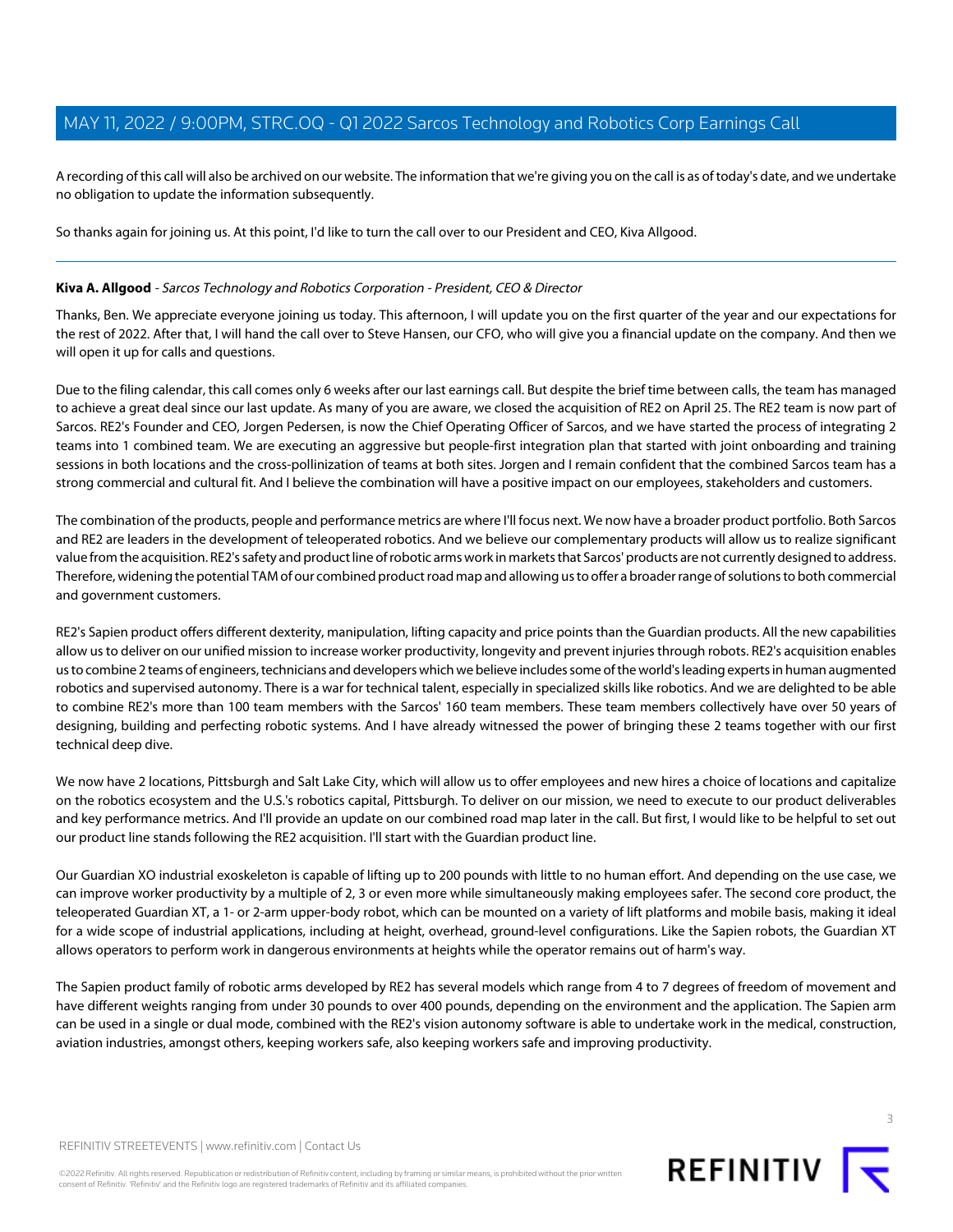A recording of this call will also be archived on our website. The information that we're giving you on the call is as of today's date, and we undertake no obligation to update the information subsequently.

So thanks again for joining us. At this point, I'd like to turn the call over to our President and CEO, Kiva Allgood.

## <span id="page-2-0"></span>**Kiva A. Allgood** - Sarcos Technology and Robotics Corporation - President, CEO & Director

Thanks, Ben. We appreciate everyone joining us today. This afternoon, I will update you on the first quarter of the year and our expectations for the rest of 2022. After that, I will hand the call over to Steve Hansen, our CFO, who will give you a financial update on the company. And then we will open it up for calls and questions.

Due to the filing calendar, this call comes only 6 weeks after our last earnings call. But despite the brief time between calls, the team has managed to achieve a great deal since our last update. As many of you are aware, we closed the acquisition of RE2 on April 25. The RE2 team is now part of Sarcos. RE2's Founder and CEO, Jorgen Pedersen, is now the Chief Operating Officer of Sarcos, and we have started the process of integrating 2 teams into 1 combined team. We are executing an aggressive but people-first integration plan that started with joint onboarding and training sessions in both locations and the cross-pollinization of teams at both sites. Jorgen and I remain confident that the combined Sarcos team has a strong commercial and cultural fit. And I believe the combination will have a positive impact on our employees, stakeholders and customers.

The combination of the products, people and performance metrics are where I'll focus next. We now have a broader product portfolio. Both Sarcos and RE2 are leaders in the development of teleoperated robotics. And we believe our complementary products will allow us to realize significant value from the acquisition. RE2's safety and product line of robotic arms work in markets that Sarcos' products are not currently designed to address. Therefore, widening the potential TAM of our combined product road map and allowing us to offer a broader range of solutions to both commercial and government customers.

RE2's Sapien product offers different dexterity, manipulation, lifting capacity and price points than the Guardian products. All the new capabilities allow us to deliver on our unified mission to increase worker productivity, longevity and prevent injuries through robots. RE2's acquisition enables us to combine 2 teams of engineers, technicians and developers which we believe includes some of the world's leading experts in human augmented robotics and supervised autonomy. There is a war for technical talent, especially in specialized skills like robotics. And we are delighted to be able to combine RE2's more than 100 team members with the Sarcos' 160 team members. These team members collectively have over 50 years of designing, building and perfecting robotic systems. And I have already witnessed the power of bringing these 2 teams together with our first technical deep dive.

We now have 2 locations, Pittsburgh and Salt Lake City, which will allow us to offer employees and new hires a choice of locations and capitalize on the robotics ecosystem and the U.S.'s robotics capital, Pittsburgh. To deliver on our mission, we need to execute to our product deliverables and key performance metrics. And I'll provide an update on our combined road map later in the call. But first, I would like to be helpful to set out our product line stands following the RE2 acquisition. I'll start with the Guardian product line.

Our Guardian XO industrial exoskeleton is capable of lifting up to 200 pounds with little to no human effort. And depending on the use case, we can improve worker productivity by a multiple of 2, 3 or even more while simultaneously making employees safer. The second core product, the teleoperated Guardian XT, a 1- or 2-arm upper-body robot, which can be mounted on a variety of lift platforms and mobile basis, making it ideal for a wide scope of industrial applications, including at height, overhead, ground-level configurations. Like the Sapien robots, the Guardian XT allows operators to perform work in dangerous environments at heights while the operator remains out of harm's way.

The Sapien product family of robotic arms developed by RE2 has several models which range from 4 to 7 degrees of freedom of movement and have different weights ranging from under 30 pounds to over 400 pounds, depending on the environment and the application. The Sapien arm can be used in a single or dual mode, combined with the RE2's vision autonomy software is able to undertake work in the medical, construction, aviation industries, amongst others, keeping workers safe, also keeping workers safe and improving productivity.



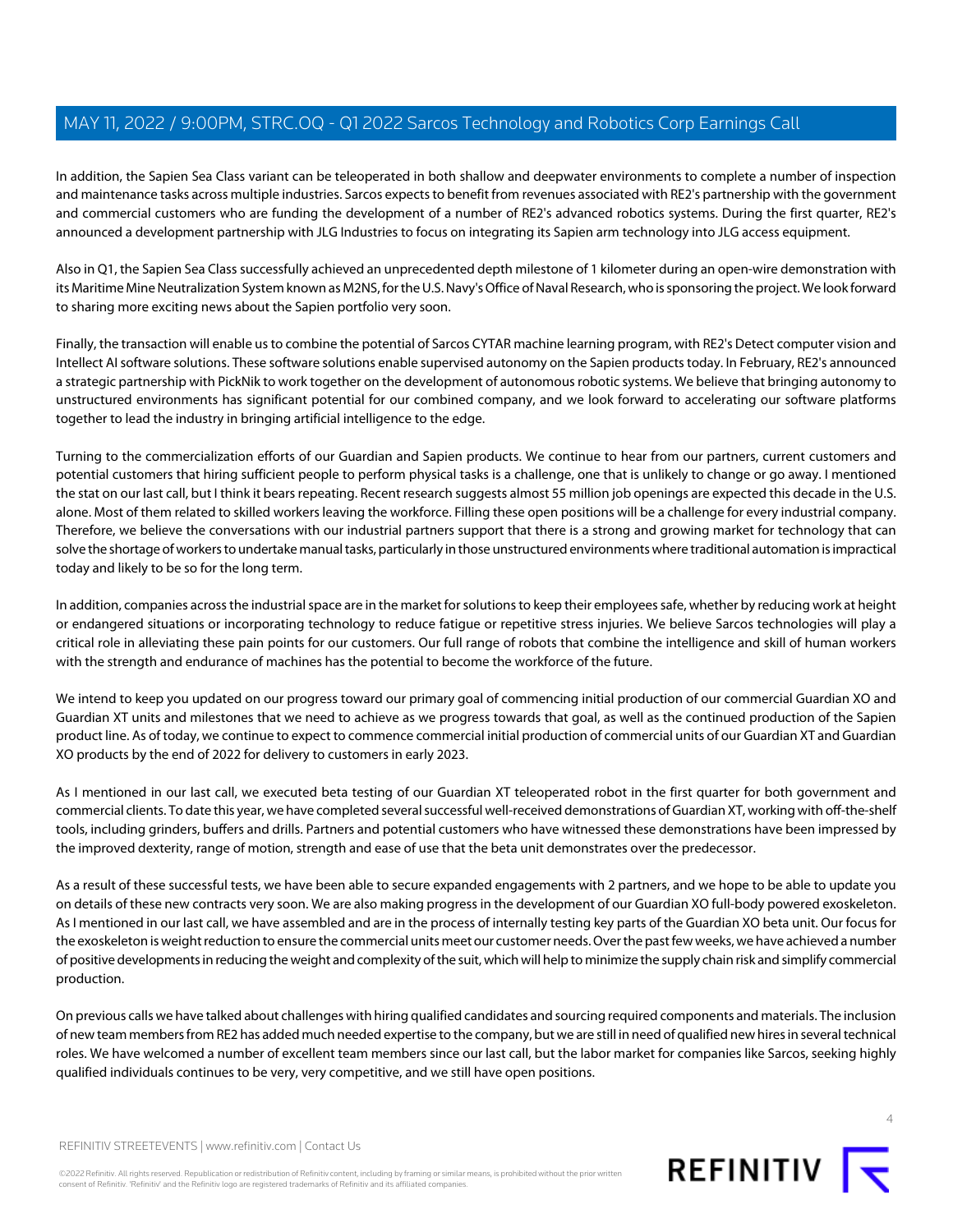In addition, the Sapien Sea Class variant can be teleoperated in both shallow and deepwater environments to complete a number of inspection and maintenance tasks across multiple industries. Sarcos expects to benefit from revenues associated with RE2's partnership with the government and commercial customers who are funding the development of a number of RE2's advanced robotics systems. During the first quarter, RE2's announced a development partnership with JLG Industries to focus on integrating its Sapien arm technology into JLG access equipment.

Also in Q1, the Sapien Sea Class successfully achieved an unprecedented depth milestone of 1 kilometer during an open-wire demonstration with its Maritime Mine Neutralization System known as M2NS, for the U.S. Navy's Office of Naval Research, who is sponsoring the project. We look forward to sharing more exciting news about the Sapien portfolio very soon.

Finally, the transaction will enable us to combine the potential of Sarcos CYTAR machine learning program, with RE2's Detect computer vision and Intellect AI software solutions. These software solutions enable supervised autonomy on the Sapien products today. In February, RE2's announced a strategic partnership with PickNik to work together on the development of autonomous robotic systems. We believe that bringing autonomy to unstructured environments has significant potential for our combined company, and we look forward to accelerating our software platforms together to lead the industry in bringing artificial intelligence to the edge.

Turning to the commercialization efforts of our Guardian and Sapien products. We continue to hear from our partners, current customers and potential customers that hiring sufficient people to perform physical tasks is a challenge, one that is unlikely to change or go away. I mentioned the stat on our last call, but I think it bears repeating. Recent research suggests almost 55 million job openings are expected this decade in the U.S. alone. Most of them related to skilled workers leaving the workforce. Filling these open positions will be a challenge for every industrial company. Therefore, we believe the conversations with our industrial partners support that there is a strong and growing market for technology that can solve the shortage of workers to undertake manual tasks, particularly in those unstructured environments where traditional automation is impractical today and likely to be so for the long term.

In addition, companies across the industrial space are in the market for solutions to keep their employees safe, whether by reducing work at height or endangered situations or incorporating technology to reduce fatigue or repetitive stress injuries. We believe Sarcos technologies will play a critical role in alleviating these pain points for our customers. Our full range of robots that combine the intelligence and skill of human workers with the strength and endurance of machines has the potential to become the workforce of the future.

We intend to keep you updated on our progress toward our primary goal of commencing initial production of our commercial Guardian XO and Guardian XT units and milestones that we need to achieve as we progress towards that goal, as well as the continued production of the Sapien product line. As of today, we continue to expect to commence commercial initial production of commercial units of our Guardian XT and Guardian XO products by the end of 2022 for delivery to customers in early 2023.

As I mentioned in our last call, we executed beta testing of our Guardian XT teleoperated robot in the first quarter for both government and commercial clients. To date this year, we have completed several successful well-received demonstrations of Guardian XT, working with off-the-shelf tools, including grinders, buffers and drills. Partners and potential customers who have witnessed these demonstrations have been impressed by the improved dexterity, range of motion, strength and ease of use that the beta unit demonstrates over the predecessor.

As a result of these successful tests, we have been able to secure expanded engagements with 2 partners, and we hope to be able to update you on details of these new contracts very soon. We are also making progress in the development of our Guardian XO full-body powered exoskeleton. As I mentioned in our last call, we have assembled and are in the process of internally testing key parts of the Guardian XO beta unit. Our focus for the exoskeleton is weight reduction to ensure the commercial units meet our customer needs. Over the past few weeks, we have achieved a number of positive developments in reducing the weight and complexity of the suit, which will help to minimize the supply chain risk and simplify commercial production.

On previous calls we have talked about challenges with hiring qualified candidates and sourcing required components and materials. The inclusion of new team members from RE2 has added much needed expertise to the company, but we are still in need of qualified new hires in several technical roles. We have welcomed a number of excellent team members since our last call, but the labor market for companies like Sarcos, seeking highly qualified individuals continues to be very, very competitive, and we still have open positions.

©2022 Refinitiv. All rights reserved. Republication or redistribution of Refinitiv content, including by framing or similar means, is prohibited without the prior written consent of Refinitiv. 'Refinitiv' and the Refinitiv logo are registered trademarks of Refinitiv and its affiliated companies.

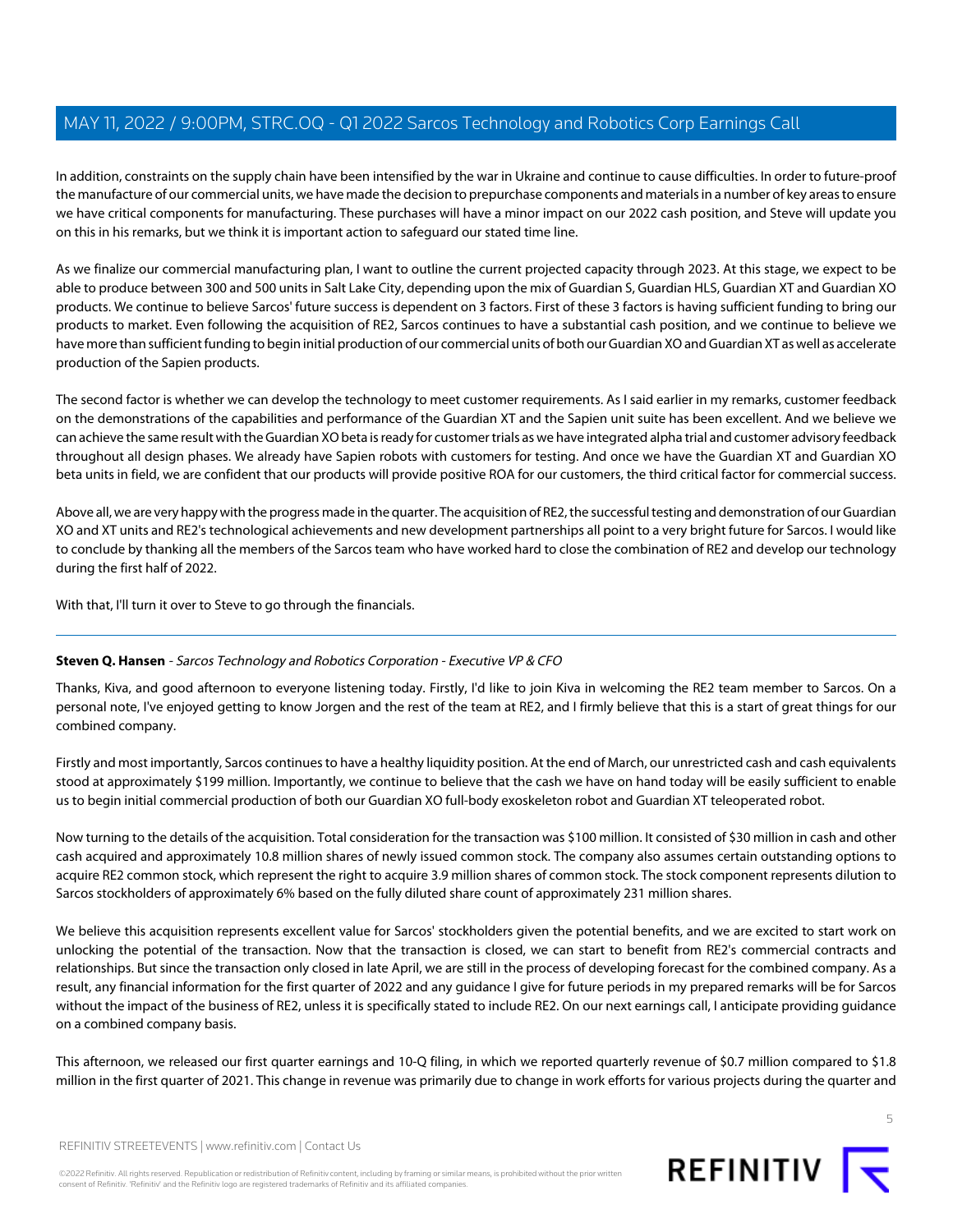In addition, constraints on the supply chain have been intensified by the war in Ukraine and continue to cause difficulties. In order to future-proof the manufacture of our commercial units, we have made the decision to prepurchase components and materials in a number of key areas to ensure we have critical components for manufacturing. These purchases will have a minor impact on our 2022 cash position, and Steve will update you on this in his remarks, but we think it is important action to safeguard our stated time line.

As we finalize our commercial manufacturing plan, I want to outline the current projected capacity through 2023. At this stage, we expect to be able to produce between 300 and 500 units in Salt Lake City, depending upon the mix of Guardian S, Guardian HLS, Guardian XT and Guardian XO products. We continue to believe Sarcos' future success is dependent on 3 factors. First of these 3 factors is having sufficient funding to bring our products to market. Even following the acquisition of RE2, Sarcos continues to have a substantial cash position, and we continue to believe we have more than sufficient funding to begin initial production of our commercial units of both our Guardian XO and Guardian XT as well as accelerate production of the Sapien products.

The second factor is whether we can develop the technology to meet customer requirements. As I said earlier in my remarks, customer feedback on the demonstrations of the capabilities and performance of the Guardian XT and the Sapien unit suite has been excellent. And we believe we can achieve the same result with the Guardian XO beta is ready for customer trials as we have integrated alpha trial and customer advisory feedback throughout all design phases. We already have Sapien robots with customers for testing. And once we have the Guardian XT and Guardian XO beta units in field, we are confident that our products will provide positive ROA for our customers, the third critical factor for commercial success.

Above all, we are very happy with the progress made in the quarter. The acquisition of RE2, the successful testing and demonstration of our Guardian XO and XT units and RE2's technological achievements and new development partnerships all point to a very bright future for Sarcos. I would like to conclude by thanking all the members of the Sarcos team who have worked hard to close the combination of RE2 and develop our technology during the first half of 2022.

<span id="page-4-0"></span>With that, I'll turn it over to Steve to go through the financials.

# **Steven Q. Hansen** - Sarcos Technology and Robotics Corporation - Executive VP & CFO

Thanks, Kiva, and good afternoon to everyone listening today. Firstly, I'd like to join Kiva in welcoming the RE2 team member to Sarcos. On a personal note, I've enjoyed getting to know Jorgen and the rest of the team at RE2, and I firmly believe that this is a start of great things for our combined company.

Firstly and most importantly, Sarcos continues to have a healthy liquidity position. At the end of March, our unrestricted cash and cash equivalents stood at approximately \$199 million. Importantly, we continue to believe that the cash we have on hand today will be easily sufficient to enable us to begin initial commercial production of both our Guardian XO full-body exoskeleton robot and Guardian XT teleoperated robot.

Now turning to the details of the acquisition. Total consideration for the transaction was \$100 million. It consisted of \$30 million in cash and other cash acquired and approximately 10.8 million shares of newly issued common stock. The company also assumes certain outstanding options to acquire RE2 common stock, which represent the right to acquire 3.9 million shares of common stock. The stock component represents dilution to Sarcos stockholders of approximately 6% based on the fully diluted share count of approximately 231 million shares.

We believe this acquisition represents excellent value for Sarcos' stockholders given the potential benefits, and we are excited to start work on unlocking the potential of the transaction. Now that the transaction is closed, we can start to benefit from RE2's commercial contracts and relationships. But since the transaction only closed in late April, we are still in the process of developing forecast for the combined company. As a result, any financial information for the first quarter of 2022 and any guidance I give for future periods in my prepared remarks will be for Sarcos without the impact of the business of RE2, unless it is specifically stated to include RE2. On our next earnings call, I anticipate providing guidance on a combined company basis.

This afternoon, we released our first quarter earnings and 10-Q filing, in which we reported quarterly revenue of \$0.7 million compared to \$1.8 million in the first quarter of 2021. This change in revenue was primarily due to change in work efforts for various projects during the quarter and

5

REFINITIV STREETEVENTS | [www.refinitiv.com](https://www.refinitiv.com/) | [Contact Us](https://www.refinitiv.com/en/contact-us)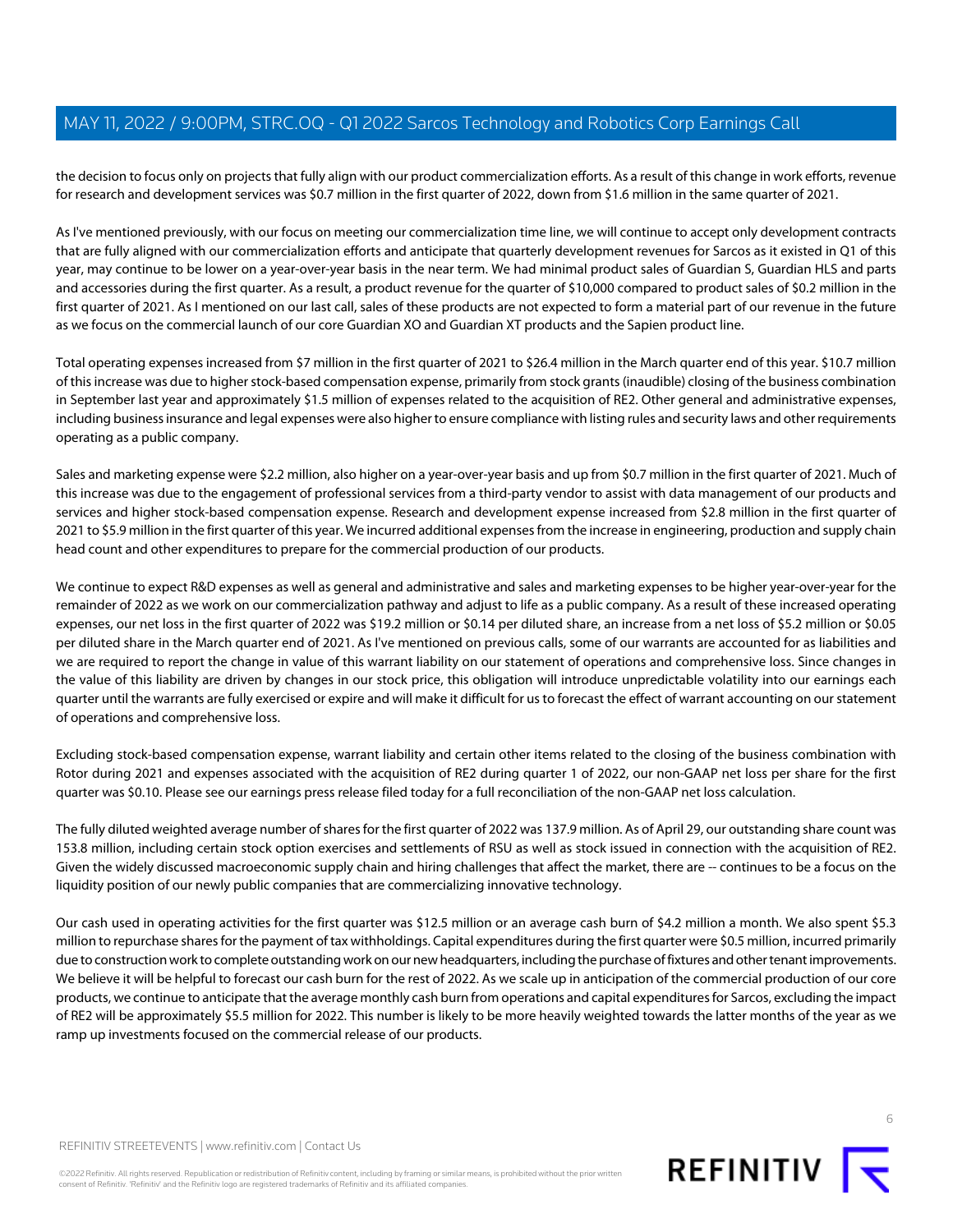the decision to focus only on projects that fully align with our product commercialization efforts. As a result of this change in work efforts, revenue for research and development services was \$0.7 million in the first quarter of 2022, down from \$1.6 million in the same quarter of 2021.

As I've mentioned previously, with our focus on meeting our commercialization time line, we will continue to accept only development contracts that are fully aligned with our commercialization efforts and anticipate that quarterly development revenues for Sarcos as it existed in Q1 of this year, may continue to be lower on a year-over-year basis in the near term. We had minimal product sales of Guardian S, Guardian HLS and parts and accessories during the first quarter. As a result, a product revenue for the quarter of \$10,000 compared to product sales of \$0.2 million in the first quarter of 2021. As I mentioned on our last call, sales of these products are not expected to form a material part of our revenue in the future as we focus on the commercial launch of our core Guardian XO and Guardian XT products and the Sapien product line.

Total operating expenses increased from \$7 million in the first quarter of 2021 to \$26.4 million in the March quarter end of this year. \$10.7 million of this increase was due to higher stock-based compensation expense, primarily from stock grants (inaudible) closing of the business combination in September last year and approximately \$1.5 million of expenses related to the acquisition of RE2. Other general and administrative expenses, including business insurance and legal expenses were also higher to ensure compliance with listing rules and security laws and other requirements operating as a public company.

Sales and marketing expense were \$2.2 million, also higher on a year-over-year basis and up from \$0.7 million in the first quarter of 2021. Much of this increase was due to the engagement of professional services from a third-party vendor to assist with data management of our products and services and higher stock-based compensation expense. Research and development expense increased from \$2.8 million in the first quarter of 2021 to \$5.9 million in the first quarter of this year. We incurred additional expenses from the increase in engineering, production and supply chain head count and other expenditures to prepare for the commercial production of our products.

We continue to expect R&D expenses as well as general and administrative and sales and marketing expenses to be higher year-over-year for the remainder of 2022 as we work on our commercialization pathway and adjust to life as a public company. As a result of these increased operating expenses, our net loss in the first quarter of 2022 was \$19.2 million or \$0.14 per diluted share, an increase from a net loss of \$5.2 million or \$0.05 per diluted share in the March quarter end of 2021. As I've mentioned on previous calls, some of our warrants are accounted for as liabilities and we are required to report the change in value of this warrant liability on our statement of operations and comprehensive loss. Since changes in the value of this liability are driven by changes in our stock price, this obligation will introduce unpredictable volatility into our earnings each quarter until the warrants are fully exercised or expire and will make it difficult for us to forecast the effect of warrant accounting on our statement of operations and comprehensive loss.

Excluding stock-based compensation expense, warrant liability and certain other items related to the closing of the business combination with Rotor during 2021 and expenses associated with the acquisition of RE2 during quarter 1 of 2022, our non-GAAP net loss per share for the first quarter was \$0.10. Please see our earnings press release filed today for a full reconciliation of the non-GAAP net loss calculation.

The fully diluted weighted average number of shares for the first quarter of 2022 was 137.9 million. As of April 29, our outstanding share count was 153.8 million, including certain stock option exercises and settlements of RSU as well as stock issued in connection with the acquisition of RE2. Given the widely discussed macroeconomic supply chain and hiring challenges that affect the market, there are -- continues to be a focus on the liquidity position of our newly public companies that are commercializing innovative technology.

Our cash used in operating activities for the first quarter was \$12.5 million or an average cash burn of \$4.2 million a month. We also spent \$5.3 million to repurchase shares for the payment of tax withholdings. Capital expenditures during the first quarter were \$0.5 million, incurred primarily due to construction work to complete outstanding work on our new headquarters, including the purchase of fixtures and other tenant improvements. We believe it will be helpful to forecast our cash burn for the rest of 2022. As we scale up in anticipation of the commercial production of our core products, we continue to anticipate that the average monthly cash burn from operations and capital expenditures for Sarcos, excluding the impact of RE2 will be approximately \$5.5 million for 2022. This number is likely to be more heavily weighted towards the latter months of the year as we ramp up investments focused on the commercial release of our products.

©2022 Refinitiv. All rights reserved. Republication or redistribution of Refinitiv content, including by framing or similar means, is prohibited without the prior written consent of Refinitiv. 'Refinitiv' and the Refinitiv logo are registered trademarks of Refinitiv and its affiliated companies.

6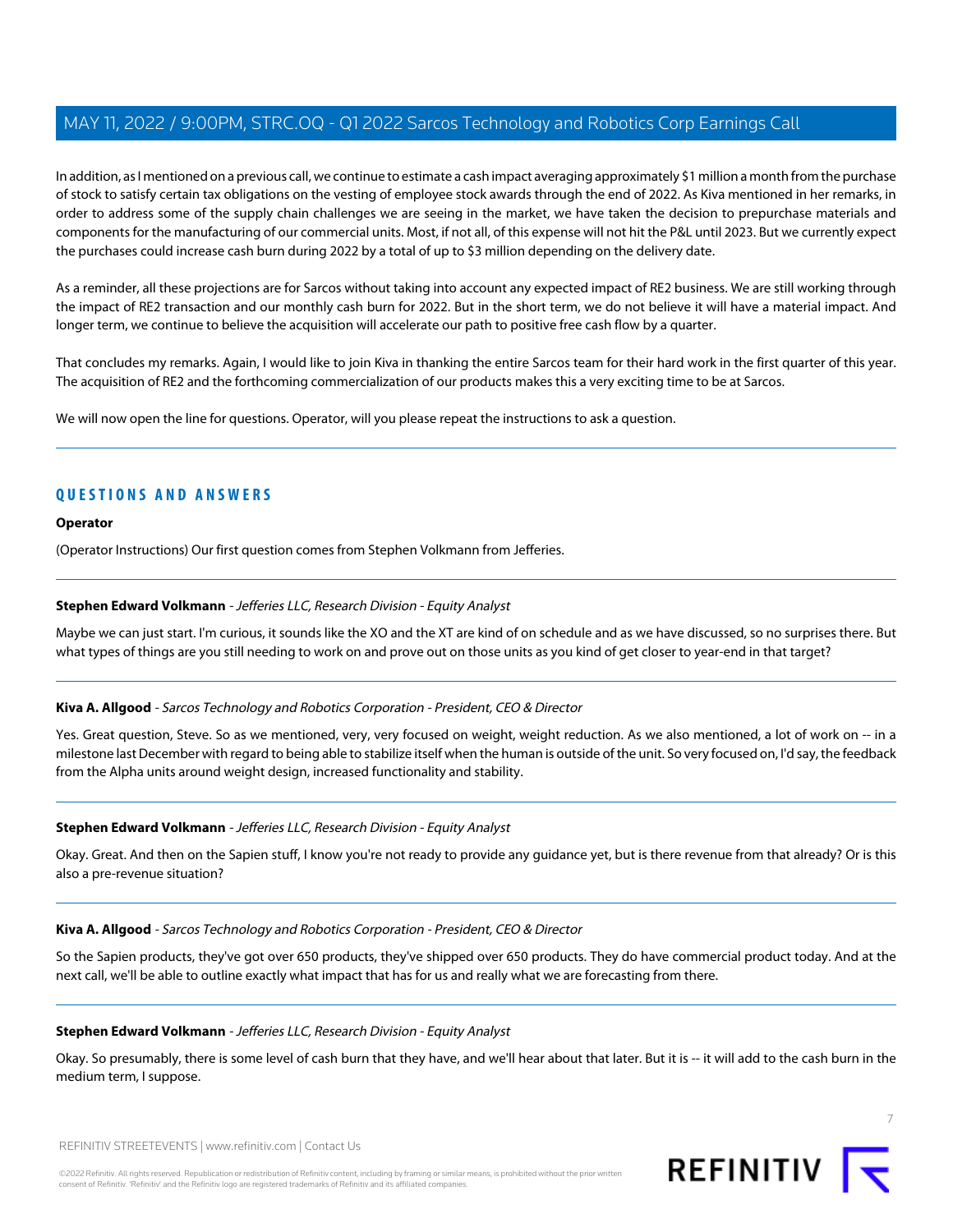In addition, as I mentioned on a previous call, we continue to estimate a cash impact averaging approximately \$1 million a month from the purchase of stock to satisfy certain tax obligations on the vesting of employee stock awards through the end of 2022. As Kiva mentioned in her remarks, in order to address some of the supply chain challenges we are seeing in the market, we have taken the decision to prepurchase materials and components for the manufacturing of our commercial units. Most, if not all, of this expense will not hit the P&L until 2023. But we currently expect the purchases could increase cash burn during 2022 by a total of up to \$3 million depending on the delivery date.

As a reminder, all these projections are for Sarcos without taking into account any expected impact of RE2 business. We are still working through the impact of RE2 transaction and our monthly cash burn for 2022. But in the short term, we do not believe it will have a material impact. And longer term, we continue to believe the acquisition will accelerate our path to positive free cash flow by a quarter.

That concludes my remarks. Again, I would like to join Kiva in thanking the entire Sarcos team for their hard work in the first quarter of this year. The acquisition of RE2 and the forthcoming commercialization of our products makes this a very exciting time to be at Sarcos.

We will now open the line for questions. Operator, will you please repeat the instructions to ask a question.

# **QUESTIONS AND ANSWERS**

## **Operator**

<span id="page-6-0"></span>(Operator Instructions) Our first question comes from Stephen Volkmann from Jefferies.

# **Stephen Edward Volkmann** - Jefferies LLC, Research Division - Equity Analyst

Maybe we can just start. I'm curious, it sounds like the XO and the XT are kind of on schedule and as we have discussed, so no surprises there. But what types of things are you still needing to work on and prove out on those units as you kind of get closer to year-end in that target?

# **Kiva A. Allgood** - Sarcos Technology and Robotics Corporation - President, CEO & Director

Yes. Great question, Steve. So as we mentioned, very, very focused on weight, weight reduction. As we also mentioned, a lot of work on -- in a milestone last December with regard to being able to stabilize itself when the human is outside of the unit. So very focused on, I'd say, the feedback from the Alpha units around weight design, increased functionality and stability.

#### **Stephen Edward Volkmann** - Jefferies LLC, Research Division - Equity Analyst

Okay. Great. And then on the Sapien stuff, I know you're not ready to provide any guidance yet, but is there revenue from that already? Or is this also a pre-revenue situation?

#### **Kiva A. Allgood** - Sarcos Technology and Robotics Corporation - President, CEO & Director

So the Sapien products, they've got over 650 products, they've shipped over 650 products. They do have commercial product today. And at the next call, we'll be able to outline exactly what impact that has for us and really what we are forecasting from there.

#### **Stephen Edward Volkmann** - Jefferies LLC, Research Division - Equity Analyst

Okay. So presumably, there is some level of cash burn that they have, and we'll hear about that later. But it is -- it will add to the cash burn in the medium term, I suppose.



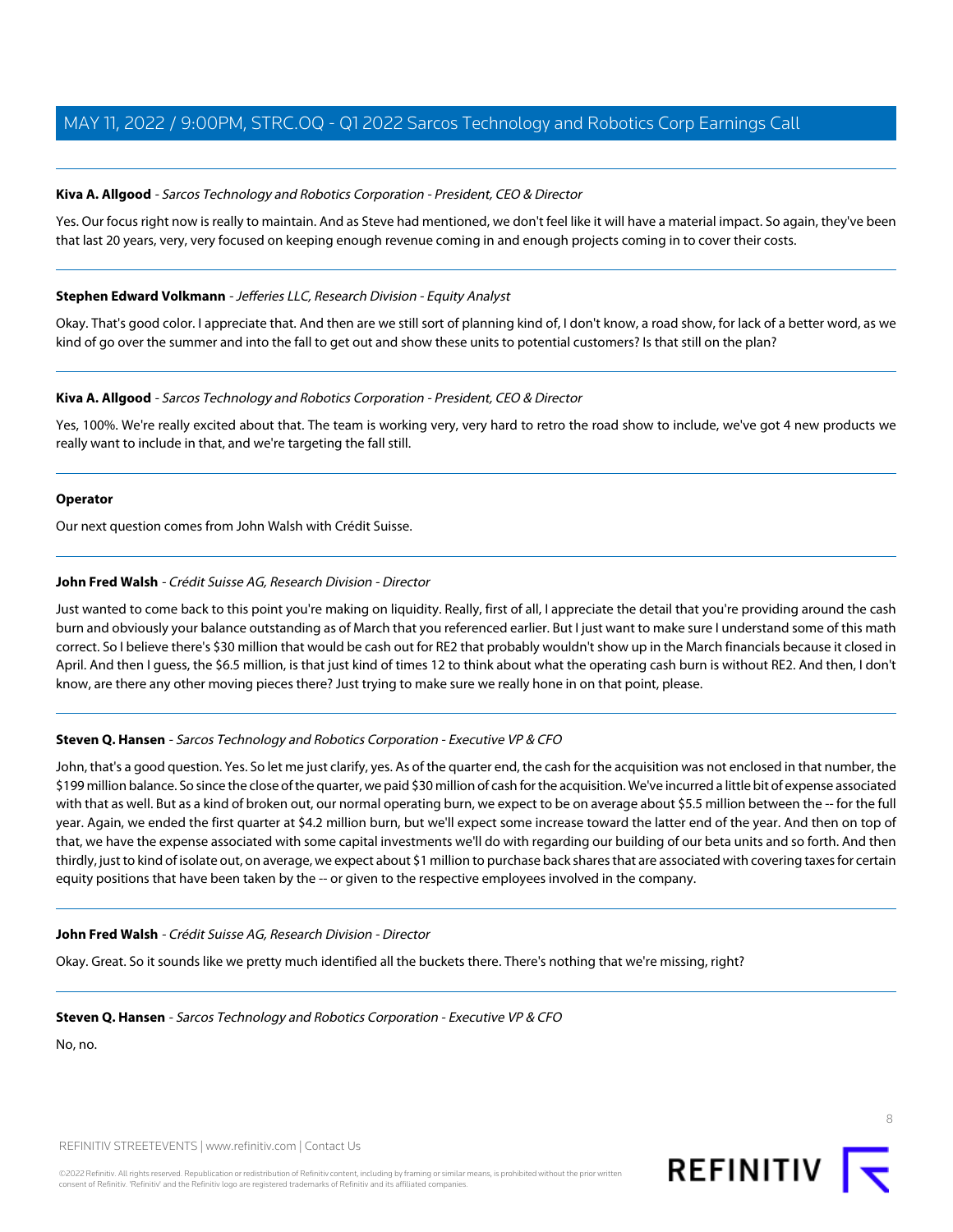## **Kiva A. Allgood** - Sarcos Technology and Robotics Corporation - President, CEO & Director

Yes. Our focus right now is really to maintain. And as Steve had mentioned, we don't feel like it will have a material impact. So again, they've been that last 20 years, very, very focused on keeping enough revenue coming in and enough projects coming in to cover their costs.

#### **Stephen Edward Volkmann** - Jefferies LLC, Research Division - Equity Analyst

Okay. That's good color. I appreciate that. And then are we still sort of planning kind of, I don't know, a road show, for lack of a better word, as we kind of go over the summer and into the fall to get out and show these units to potential customers? Is that still on the plan?

## **Kiva A. Allgood** - Sarcos Technology and Robotics Corporation - President, CEO & Director

Yes, 100%. We're really excited about that. The team is working very, very hard to retro the road show to include, we've got 4 new products we really want to include in that, and we're targeting the fall still.

#### **Operator**

<span id="page-7-0"></span>Our next question comes from John Walsh with Crédit Suisse.

# **John Fred Walsh** - Crédit Suisse AG, Research Division - Director

Just wanted to come back to this point you're making on liquidity. Really, first of all, I appreciate the detail that you're providing around the cash burn and obviously your balance outstanding as of March that you referenced earlier. But I just want to make sure I understand some of this math correct. So I believe there's \$30 million that would be cash out for RE2 that probably wouldn't show up in the March financials because it closed in April. And then I guess, the \$6.5 million, is that just kind of times 12 to think about what the operating cash burn is without RE2. And then, I don't know, are there any other moving pieces there? Just trying to make sure we really hone in on that point, please.

# **Steven Q. Hansen** - Sarcos Technology and Robotics Corporation - Executive VP & CFO

John, that's a good question. Yes. So let me just clarify, yes. As of the quarter end, the cash for the acquisition was not enclosed in that number, the \$199 million balance. So since the close of the quarter, we paid \$30 million of cash for the acquisition. We've incurred a little bit of expense associated with that as well. But as a kind of broken out, our normal operating burn, we expect to be on average about \$5.5 million between the -- for the full year. Again, we ended the first quarter at \$4.2 million burn, but we'll expect some increase toward the latter end of the year. And then on top of that, we have the expense associated with some capital investments we'll do with regarding our building of our beta units and so forth. And then thirdly, just to kind of isolate out, on average, we expect about \$1 million to purchase back shares that are associated with covering taxes for certain equity positions that have been taken by the -- or given to the respective employees involved in the company.

#### **John Fred Walsh** - Crédit Suisse AG, Research Division - Director

Okay. Great. So it sounds like we pretty much identified all the buckets there. There's nothing that we're missing, right?

#### **Steven Q. Hansen** - Sarcos Technology and Robotics Corporation - Executive VP & CFO

No, no.

REFINITIV STREETEVENTS | [www.refinitiv.com](https://www.refinitiv.com/) | [Contact Us](https://www.refinitiv.com/en/contact-us)

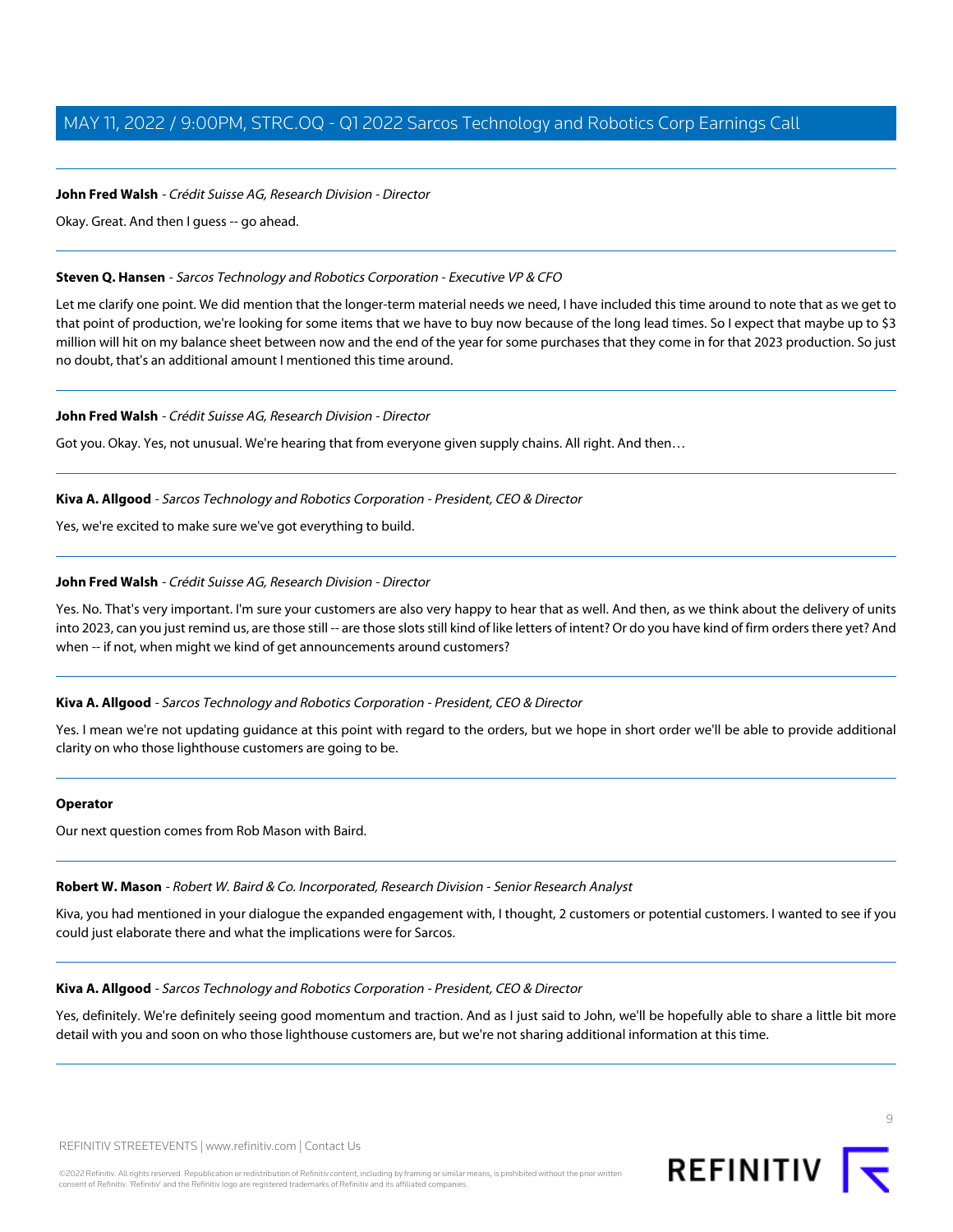## **John Fred Walsh** - Crédit Suisse AG, Research Division - Director

Okay. Great. And then I guess -- go ahead.

#### **Steven Q. Hansen** - Sarcos Technology and Robotics Corporation - Executive VP & CFO

Let me clarify one point. We did mention that the longer-term material needs we need, I have included this time around to note that as we get to that point of production, we're looking for some items that we have to buy now because of the long lead times. So I expect that maybe up to \$3 million will hit on my balance sheet between now and the end of the year for some purchases that they come in for that 2023 production. So just no doubt, that's an additional amount I mentioned this time around.

#### **John Fred Walsh** - Crédit Suisse AG, Research Division - Director

Got you. Okay. Yes, not unusual. We're hearing that from everyone given supply chains. All right. And then…

## **Kiva A. Allgood** - Sarcos Technology and Robotics Corporation - President, CEO & Director

Yes, we're excited to make sure we've got everything to build.

# **John Fred Walsh** - Crédit Suisse AG, Research Division - Director

Yes. No. That's very important. I'm sure your customers are also very happy to hear that as well. And then, as we think about the delivery of units into 2023, can you just remind us, are those still -- are those slots still kind of like letters of intent? Or do you have kind of firm orders there yet? And when -- if not, when might we kind of get announcements around customers?

# **Kiva A. Allgood** - Sarcos Technology and Robotics Corporation - President, CEO & Director

Yes. I mean we're not updating guidance at this point with regard to the orders, but we hope in short order we'll be able to provide additional clarity on who those lighthouse customers are going to be.

#### <span id="page-8-0"></span>**Operator**

Our next question comes from Rob Mason with Baird.

#### **Robert W. Mason** - Robert W. Baird & Co. Incorporated, Research Division - Senior Research Analyst

Kiva, you had mentioned in your dialogue the expanded engagement with, I thought, 2 customers or potential customers. I wanted to see if you could just elaborate there and what the implications were for Sarcos.

#### **Kiva A. Allgood** - Sarcos Technology and Robotics Corporation - President, CEO & Director

Yes, definitely. We're definitely seeing good momentum and traction. And as I just said to John, we'll be hopefully able to share a little bit more detail with you and soon on who those lighthouse customers are, but we're not sharing additional information at this time.

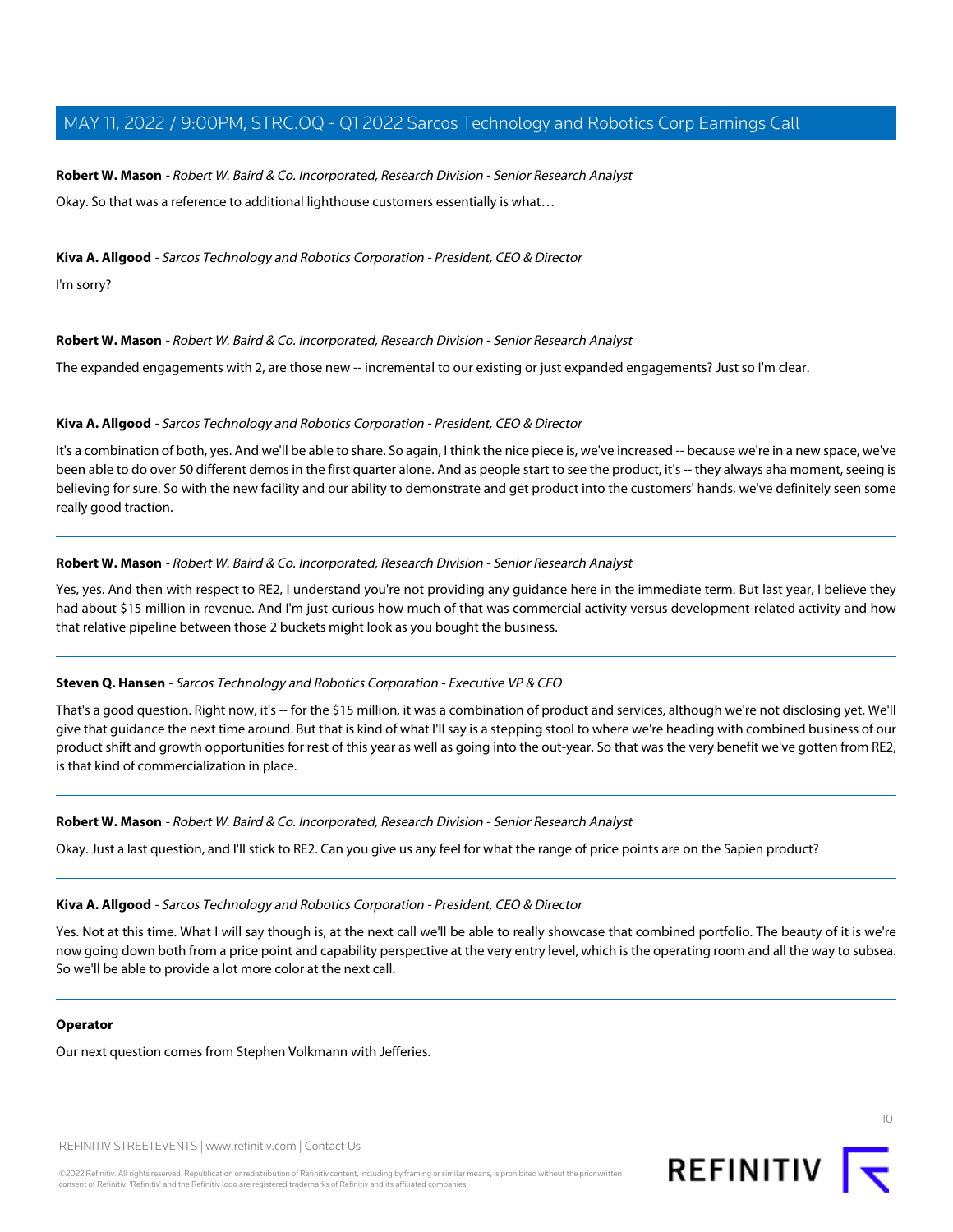# **Robert W. Mason** - Robert W. Baird & Co. Incorporated, Research Division - Senior Research Analyst

Okay. So that was a reference to additional lighthouse customers essentially is what…

**Kiva A. Allgood** - Sarcos Technology and Robotics Corporation - President, CEO & Director

I'm sorry?

**Robert W. Mason** - Robert W. Baird & Co. Incorporated, Research Division - Senior Research Analyst

The expanded engagements with 2, are those new -- incremental to our existing or just expanded engagements? Just so I'm clear.

# **Kiva A. Allgood** - Sarcos Technology and Robotics Corporation - President, CEO & Director

It's a combination of both, yes. And we'll be able to share. So again, I think the nice piece is, we've increased -- because we're in a new space, we've been able to do over 50 different demos in the first quarter alone. And as people start to see the product, it's -- they always aha moment, seeing is believing for sure. So with the new facility and our ability to demonstrate and get product into the customers' hands, we've definitely seen some really good traction.

# **Robert W. Mason** - Robert W. Baird & Co. Incorporated, Research Division - Senior Research Analyst

Yes, yes. And then with respect to RE2, I understand you're not providing any guidance here in the immediate term. But last year, I believe they had about \$15 million in revenue. And I'm just curious how much of that was commercial activity versus development-related activity and how that relative pipeline between those 2 buckets might look as you bought the business.

#### **Steven Q. Hansen** - Sarcos Technology and Robotics Corporation - Executive VP & CFO

That's a good question. Right now, it's -- for the \$15 million, it was a combination of product and services, although we're not disclosing yet. We'll give that guidance the next time around. But that is kind of what I'll say is a stepping stool to where we're heading with combined business of our product shift and growth opportunities for rest of this year as well as going into the out-year. So that was the very benefit we've gotten from RE2, is that kind of commercialization in place.

#### **Robert W. Mason** - Robert W. Baird & Co. Incorporated, Research Division - Senior Research Analyst

Okay. Just a last question, and I'll stick to RE2. Can you give us any feel for what the range of price points are on the Sapien product?

#### **Kiva A. Allgood** - Sarcos Technology and Robotics Corporation - President, CEO & Director

Yes. Not at this time. What I will say though is, at the next call we'll be able to really showcase that combined portfolio. The beauty of it is we're now going down both from a price point and capability perspective at the very entry level, which is the operating room and all the way to subsea. So we'll be able to provide a lot more color at the next call.

#### **Operator**

Our next question comes from Stephen Volkmann with Jefferies.

REFINITIV STREETEVENTS | [www.refinitiv.com](https://www.refinitiv.com/) | [Contact Us](https://www.refinitiv.com/en/contact-us)